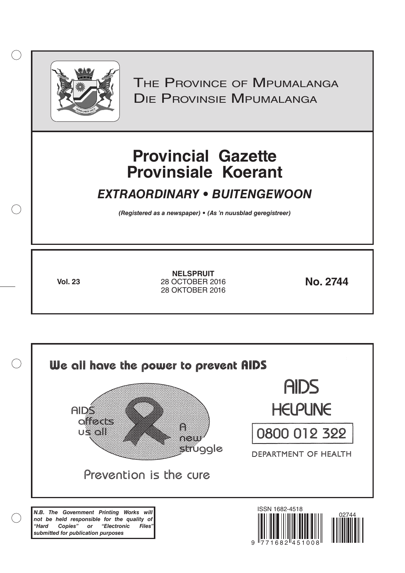

 $( )$ 

THE PROVINCE OF MPUMALANGA Die Provinsie Mpumalanga

# **Provincial Gazette Provinsiale Koerant**

# *EXTRAORDINARY • BUITENGEWOON*

*(Registered as a newspaper) • (As 'n nuusblad geregistreer)*

**Vol. 23 No. 2744** 28 OCTOBER 2016 **NELSPRUIT** 28 OKTOBER 2016

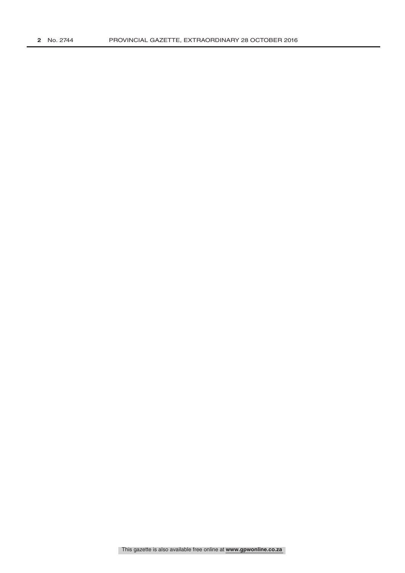This gazette is also available free online at **www.gpwonline.co.za**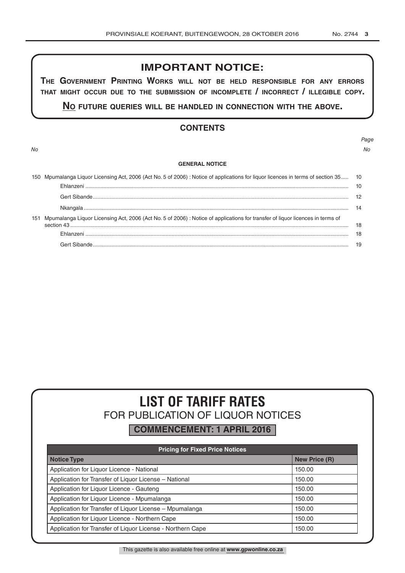# **IMPORTANT NOTICE:**

**The GovernmenT PrinTinG Works Will noT be held resPonsible for any errors ThaT miGhT occur due To The submission of incomPleTe / incorrecT / illeGible coPy.**

**no fuTure queries Will be handled in connecTion WiTh The above.**

# **CONTENTS**

# **GENERAL NOTICE**

|     | 150 Mpumalanga Liquor Licensing Act, 2006 (Act No. 5 of 2006) : Notice of applications for liquor licences in terms of section 35 10 |    |
|-----|--------------------------------------------------------------------------------------------------------------------------------------|----|
| 151 |                                                                                                                                      |    |
|     |                                                                                                                                      |    |
|     |                                                                                                                                      | 14 |
|     | Mpumalanga Liquor Licensing Act, 2006 (Act No. 5 of 2006) : Notice of applications for transfer of liquor licences in terms of       | 18 |
|     |                                                                                                                                      | 18 |
|     |                                                                                                                                      | 19 |

# **LIST OF TARIFF RATES** FOR PUBLICATION OF LIQUOR NOTICES

**COMMENCEMENT: 1 APRIL 2016**

| <b>Pricing for Fixed Price Notices</b>                     |                      |  |  |  |  |
|------------------------------------------------------------|----------------------|--|--|--|--|
| <b>Notice Type</b>                                         | <b>New Price (R)</b> |  |  |  |  |
| Application for Liquor Licence - National                  | 150.00               |  |  |  |  |
| Application for Transfer of Liquor License - National      | 150.00               |  |  |  |  |
| Application for Liquor Licence - Gauteng                   | 150.00               |  |  |  |  |
| Application for Liquor Licence - Mpumalanga                | 150.00               |  |  |  |  |
| Application for Transfer of Liquor License - Mpumalanga    | 150.00               |  |  |  |  |
| Application for Liquor Licence - Northern Cape             | 150.00               |  |  |  |  |
| Application for Transfer of Liquor License - Northern Cape | 150.00               |  |  |  |  |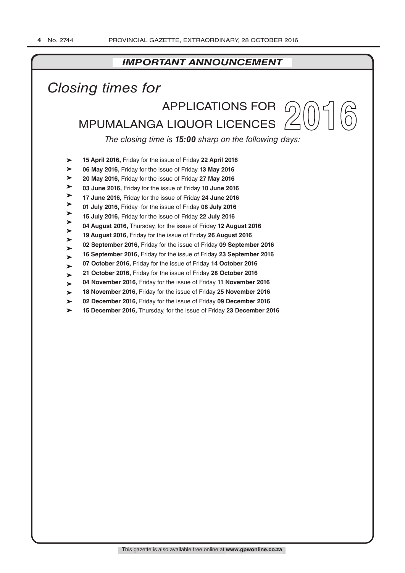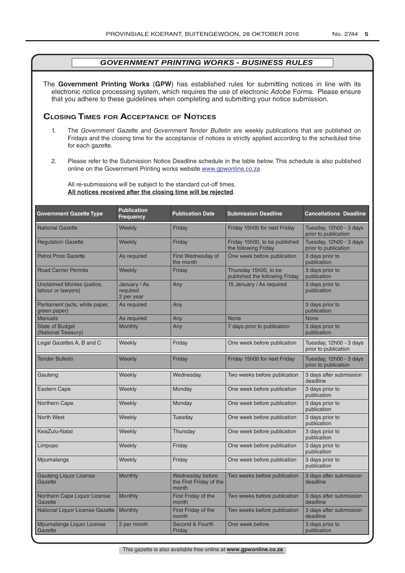The **Government Printing Works** (**GPW**) has established rules for submitting notices in line with its electronic notice processing system, which requires the use of electronic *Adobe* Forms. Please ensure that you adhere to these guidelines when completing and submitting your notice submission.

*GOVERNMENT PRINTING WORKS - BUSINESS RULES*

# **Closing Times for ACCepTAnCe of noTiCes**

- 1. The *Government Gazette* and *Government Tender Bulletin* are weekly publications that are published on Fridays and the closing time for the acceptance of notices is strictly applied according to the scheduled time for each gazette.
- 2. Please refer to the Submission Notice Deadline schedule in the table below. This schedule is also published online on the Government Printing works website www.gpwonline.co.za

All re-submissions will be subject to the standard cut-off times. **All notices received after the closing time will be rejected**.

| <b>Government Gazette Type</b>                   | <b>Publication</b><br><b>Frequency</b> | <b>Publication Date</b>                              | <b>Submission Deadline</b>                              | <b>Cancellations Deadline</b>                   |
|--------------------------------------------------|----------------------------------------|------------------------------------------------------|---------------------------------------------------------|-------------------------------------------------|
| <b>National Gazette</b>                          | Weekly                                 | Friday                                               | Friday 15h00 for next Friday                            | Tuesday, 12h00 - 3 days<br>prior to publication |
| <b>Regulation Gazette</b>                        | Weekly                                 | Friday                                               | Friday 15h00, to be published<br>the following Friday   | Tuesday, 12h00 - 3 days<br>prior to publication |
| <b>Petrol Price Gazette</b>                      | As required                            | First Wednesday of<br>the month                      | One week before publication                             | 3 days prior to<br>publication                  |
| <b>Road Carrier Permits</b>                      | Weekly                                 | Friday                                               | Thursday 15h00, to be<br>published the following Friday | 3 days prior to<br>publication                  |
| Unclaimed Monies (justice,<br>labour or lawyers) | January / As<br>required<br>2 per year | Any                                                  | 15 January / As required                                | 3 days prior to<br>publication                  |
| Parliament (acts, white paper,<br>green paper)   | As required                            | Any                                                  |                                                         | 3 days prior to<br>publication                  |
| <b>Manuals</b>                                   | As required                            | Any                                                  | None                                                    | <b>None</b>                                     |
| <b>State of Budget</b><br>(National Treasury)    | Monthly                                | Any                                                  | 7 days prior to publication                             | 3 days prior to<br>publication                  |
| Legal Gazettes A, B and C                        | Weekly                                 | Friday                                               | One week before publication                             | Tuesday, 12h00 - 3 days<br>prior to publication |
| <b>Tender Bulletin</b>                           | Weekly                                 | Friday                                               | Friday 15h00 for next Friday                            | Tuesday, 12h00 - 3 days<br>prior to publication |
| Gauteng                                          | Weekly                                 | Wednesday                                            | Two weeks before publication                            | 3 days after submission<br>deadline             |
| <b>Eastern Cape</b>                              | Weekly                                 | Monday                                               | One week before publication                             | 3 days prior to<br>publication                  |
| Northern Cape                                    | Weekly                                 | Monday                                               | One week before publication                             | 3 days prior to<br>publication                  |
| <b>North West</b>                                | Weekly                                 | Tuesday                                              | One week before publication                             | 3 days prior to<br>publication                  |
| KwaZulu-Natal                                    | Weekly                                 | Thursday                                             | One week before publication                             | 3 days prior to<br>publication                  |
| Limpopo                                          | Weekly                                 | Friday                                               | One week before publication                             | 3 days prior to<br>publication                  |
| Mpumalanga                                       | Weekly                                 | Friday                                               | One week before publication                             | 3 days prior to<br>publication                  |
| <b>Gauteng Liquor License</b><br>Gazette         | Monthly                                | Wednesday before<br>the First Friday of the<br>month | Two weeks before publication                            | 3 days after submission<br>deadline             |
| Northern Cape Liquor License<br>Gazette          | Monthly                                | First Friday of the<br>month                         | Two weeks before publication                            | 3 days after submission<br>deadline             |
| National Liquor License Gazette                  | Monthly                                | First Friday of the<br>month                         | Two weeks before publication                            | 3 days after submission<br>deadline             |
| Mpumalanga Liquor License<br>Gazette             | 2 per month                            | Second & Fourth<br>Friday                            | One week before                                         | 3 days prior to<br>publication                  |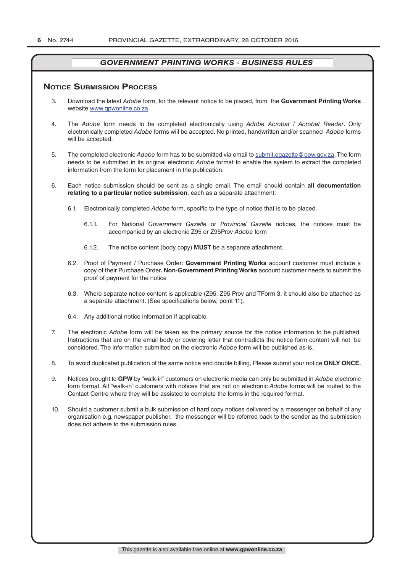# **NOTICE SUBMISSION PROCESS**

- 3. Download the latest *Adobe* form, for the relevant notice to be placed, from the **Government Printing Works** website www.gpwonline.co.za.
- 4. The *Adobe* form needs to be completed electronically using *Adobe Acrobat* / *Acrobat Reader*. Only electronically completed *Adobe* forms will be accepted. No printed, handwritten and/or scanned *Adobe* forms will be accepted.
- 5. The completed electronic *Adobe* form has to be submitted via email to submit.egazette@gpw.gov.za. The form needs to be submitted in its original electronic *Adobe* format to enable the system to extract the completed information from the form for placement in the publication.
- 6. Each notice submission should be sent as a single email. The email should contain **all documentation relating to a particular notice submission**, each as a separate attachment:
	- 6.1. Electronically completed *Adobe* form, specific to the type of notice that is to be placed.
		- 6.1.1. For National *Government Gazette* or *Provincial Gazette* notices, the notices must be accompanied by an electronic Z95 or Z95Prov *Adobe* form
		- 6.1.2. The notice content (body copy) **MUST** be a separate attachment.
	- 6.2. Proof of Payment / Purchase Order: **Government Printing Works** account customer must include a copy of their Purchase Order*.* **Non**-**Government Printing Works** account customer needs to submit the proof of payment for the notice
	- 6.3. Where separate notice content is applicable (Z95, Z95 Prov and TForm 3, it should also be attached as a separate attachment. (See specifications below, point 11).
	- 6.4. Any additional notice information if applicable.
- 7. The electronic *Adobe* form will be taken as the primary source for the notice information to be published. Instructions that are on the email body or covering letter that contradicts the notice form content will not be considered. The information submitted on the electronic *Adobe* form will be published as-is.
- 8. To avoid duplicated publication of the same notice and double billing, Please submit your notice **ONLY ONCE.**
- 9. Notices brought to **GPW** by "walk-in" customers on electronic media can only be submitted in *Adobe* electronic form format. All "walk-in" customers with notices that are not on electronic *Adobe* forms will be routed to the Contact Centre where they will be assisted to complete the forms in the required format.
- 10. Should a customer submit a bulk submission of hard copy notices delivered by a messenger on behalf of any organisation e.g. newspaper publisher, the messenger will be referred back to the sender as the submission does not adhere to the submission rules.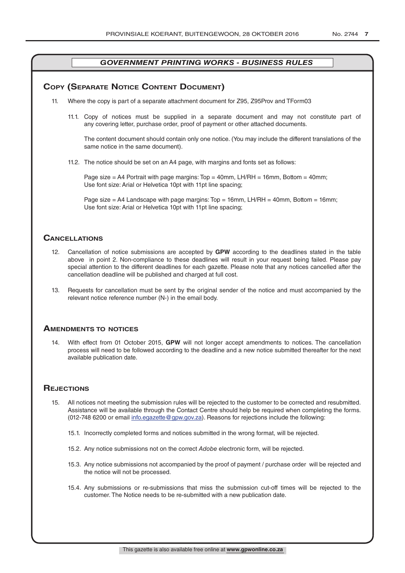# **COPY (SEPARATE NOTICE CONTENT DOCUMENT)**

- 11. Where the copy is part of a separate attachment document for Z95, Z95Prov and TForm03
	- 11.1. Copy of notices must be supplied in a separate document and may not constitute part of any covering letter, purchase order, proof of payment or other attached documents.

The content document should contain only one notice. (You may include the different translations of the same notice in the same document).

11.2. The notice should be set on an A4 page, with margins and fonts set as follows:

Page size  $=$  A4 Portrait with page margins: Top  $=$  40mm, LH/RH  $=$  16mm, Bottom  $=$  40mm; Use font size: Arial or Helvetica 10pt with 11pt line spacing;

Page size = A4 Landscape with page margins: Top = 16mm, LH/RH = 40mm, Bottom = 16mm; Use font size: Arial or Helvetica 10pt with 11pt line spacing;

# **CAnCellATions**

- 12. Cancellation of notice submissions are accepted by **GPW** according to the deadlines stated in the table above in point 2. Non-compliance to these deadlines will result in your request being failed. Please pay special attention to the different deadlines for each gazette. Please note that any notices cancelled after the cancellation deadline will be published and charged at full cost.
- 13. Requests for cancellation must be sent by the original sender of the notice and must accompanied by the relevant notice reference number (N-) in the email body.

# **AmenDmenTs To noTiCes**

14. With effect from 01 October 2015, **GPW** will not longer accept amendments to notices. The cancellation process will need to be followed according to the deadline and a new notice submitted thereafter for the next available publication date.

# **REJECTIONS**

- 15. All notices not meeting the submission rules will be rejected to the customer to be corrected and resubmitted. Assistance will be available through the Contact Centre should help be required when completing the forms. (012-748 6200 or email info.egazette@gpw.gov.za). Reasons for rejections include the following:
	- 15.1. Incorrectly completed forms and notices submitted in the wrong format, will be rejected.
	- 15.2. Any notice submissions not on the correct *Adobe* electronic form, will be rejected.
	- 15.3. Any notice submissions not accompanied by the proof of payment / purchase order will be rejected and the notice will not be processed.
	- 15.4. Any submissions or re-submissions that miss the submission cut-off times will be rejected to the customer. The Notice needs to be re-submitted with a new publication date.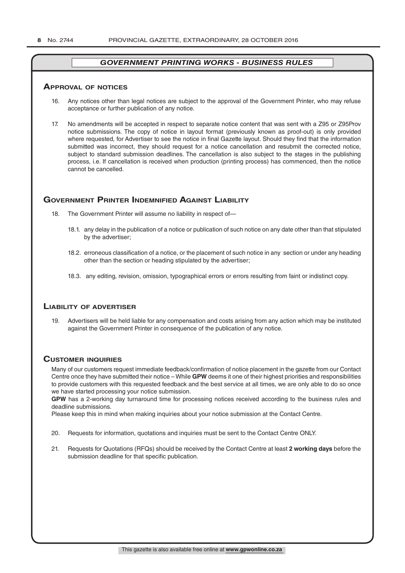# **ApprovAl of noTiCes**

- 16. Any notices other than legal notices are subject to the approval of the Government Printer, who may refuse acceptance or further publication of any notice.
- 17. No amendments will be accepted in respect to separate notice content that was sent with a Z95 or Z95Prov notice submissions. The copy of notice in layout format (previously known as proof-out) is only provided where requested, for Advertiser to see the notice in final Gazette layout. Should they find that the information submitted was incorrect, they should request for a notice cancellation and resubmit the corrected notice, subject to standard submission deadlines. The cancellation is also subject to the stages in the publishing process, i.e. If cancellation is received when production (printing process) has commenced, then the notice cannot be cancelled.

# **GOVERNMENT PRINTER INDEMNIFIED AGAINST LIABILITY**

- 18. The Government Printer will assume no liability in respect of-
	- 18.1. any delay in the publication of a notice or publication of such notice on any date other than that stipulated by the advertiser;
	- 18.2. erroneous classification of a notice, or the placement of such notice in any section or under any heading other than the section or heading stipulated by the advertiser;
	- 18.3. any editing, revision, omission, typographical errors or errors resulting from faint or indistinct copy.

# **liAbiliTy of ADverTiser**

19. Advertisers will be held liable for any compensation and costs arising from any action which may be instituted against the Government Printer in consequence of the publication of any notice.

# **CusTomer inquiries**

Many of our customers request immediate feedback/confirmation of notice placement in the gazette from our Contact Centre once they have submitted their notice – While **GPW** deems it one of their highest priorities and responsibilities to provide customers with this requested feedback and the best service at all times, we are only able to do so once we have started processing your notice submission.

**GPW** has a 2-working day turnaround time for processing notices received according to the business rules and deadline submissions.

Please keep this in mind when making inquiries about your notice submission at the Contact Centre.

- 20. Requests for information, quotations and inquiries must be sent to the Contact Centre ONLY.
- 21. Requests for Quotations (RFQs) should be received by the Contact Centre at least **2 working days** before the submission deadline for that specific publication.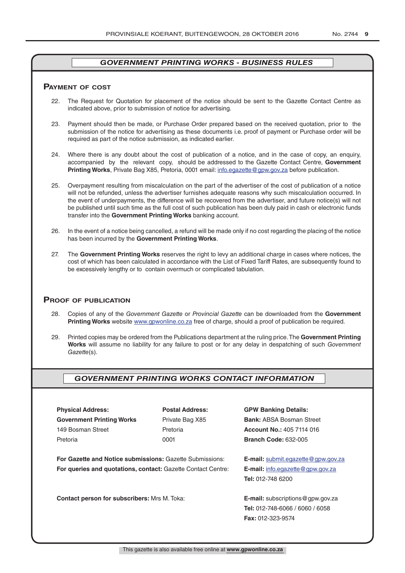# **pAymenT of CosT**

- 22. The Request for Quotation for placement of the notice should be sent to the Gazette Contact Centre as indicated above, prior to submission of notice for advertising.
- 23. Payment should then be made, or Purchase Order prepared based on the received quotation, prior to the submission of the notice for advertising as these documents i.e. proof of payment or Purchase order will be required as part of the notice submission, as indicated earlier.
- 24. Where there is any doubt about the cost of publication of a notice, and in the case of copy, an enquiry, accompanied by the relevant copy, should be addressed to the Gazette Contact Centre, **Government Printing Works**, Private Bag X85, Pretoria, 0001 email: info.egazette@gpw.gov.za before publication.
- 25. Overpayment resulting from miscalculation on the part of the advertiser of the cost of publication of a notice will not be refunded, unless the advertiser furnishes adequate reasons why such miscalculation occurred. In the event of underpayments, the difference will be recovered from the advertiser, and future notice(s) will not be published until such time as the full cost of such publication has been duly paid in cash or electronic funds transfer into the **Government Printing Works** banking account.
- 26. In the event of a notice being cancelled, a refund will be made only if no cost regarding the placing of the notice has been incurred by the **Government Printing Works**.
- 27. The **Government Printing Works** reserves the right to levy an additional charge in cases where notices, the cost of which has been calculated in accordance with the List of Fixed Tariff Rates, are subsequently found to be excessively lengthy or to contain overmuch or complicated tabulation.

# **proof of publiCATion**

- 28. Copies of any of the *Government Gazette* or *Provincial Gazette* can be downloaded from the **Government Printing Works** website www.gpwonline.co.za free of charge, should a proof of publication be required.
- 29. Printed copies may be ordered from the Publications department at the ruling price. The **Government Printing Works** will assume no liability for any failure to post or for any delay in despatching of such *Government Gazette*(s).

# *GOVERNMENT PRINTING WORKS CONTACT INFORMATION*

**Physical Address: Postal Address: GPW Banking Details: Government Printing Works** Private Bag X85 **Bank:** ABSA Bosman Street 149 Bosman Street Pretoria **Account No.:** 405 7114 016 Pretoria 0001 **Branch Code:** 632-005

**For Gazette and Notice submissions:** Gazette Submissions: **E-mail:** submit.egazette@gpw.gov.za **For queries and quotations, contact:** Gazette Contact Centre: **E-mail:** info.egazette@gpw.gov.za

**Contact person for subscribers:** Mrs M. Toka: **E-mail:** subscriptions@gpw.gov.za

**Tel:** 012-748 6200

**Tel:** 012-748-6066 / 6060 / 6058 **Fax:** 012-323-9574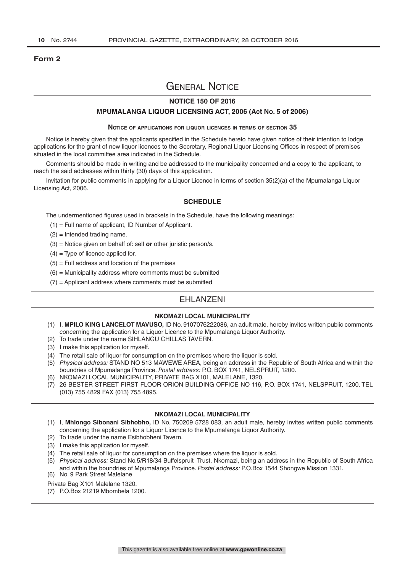# **Form 2**

# General Notice

# **NOTICE 150 OF 2016**

#### **MPUMALANGA LIQUOR LICENSING ACT, 2006 (Act No. 5 of 2006)**

#### **Notice of applications for liquor licences in terms of section 35**

Notice is hereby given that the applicants specified in the Schedule hereto have given notice of their intention to lodge applications for the grant of new liquor licences to the Secretary, Regional Liquor Licensing Offices in respect of premises situated in the local committee area indicated in the Schedule.

Comments should be made in writing and be addressed to the municipality concerned and a copy to the applicant, to reach the said addresses within thirty (30) days of this application.

Invitation for public comments in applying for a Liquor Licence in terms of section 35(2)(a) of the Mpumalanga Liquor Licensing Act, 2006.

# **SCHEDULE**

The undermentioned figures used in brackets in the Schedule, have the following meanings:

- (1) = Full name of applicant, ID Number of Applicant.
- (2) = Intended trading name.
- (3) = Notice given on behalf of: self *or* other juristic person/s.
- $(4)$  = Type of licence applied for.
- $(5)$  = Full address and location of the premises
- $(6)$  = Municipality address where comments must be submitted
- $(7)$  = Applicant address where comments must be submitted

# **FHI ANZENI**

# **NKOMAZI LOCAL MUNICIPALITY**

- (1) I, **MPILO KING LANCELOT MAVUSO,** ID No. 9107076222086, an adult male, hereby invites written public comments concerning the application for a Liquor Licence to the Mpumalanga Liquor Authority.
- (2) To trade under the name SIHLANGU CHILLAS TAVERN.
- (3) I make this application for myself.
- (4) The retail sale of liquor for consumption on the premises where the liquor is sold.
- (5) *Physical address:* STAND NO 513 MAWEWE AREA, being an address in the Republic of South Africa and within the boundries of Mpumalanga Province. *Postal address:* P.O. BOX 1741, NELSPRUIT, 1200.
- (6) NKOMAZI LOCAL MUNICIPALITY, PRIVATE BAG X101, MALELANE, 1320.
- (7) 26 BESTER STREET FIRST FLOOR ORION BUILDING OFFICE NO 116, P.O. BOX 1741, NELSPRUIT, 1200. TEL (013) 755 4829 FAX (013) 755 4895.

#### **NKOMAZI LOCAL MUNICIPALITY**

- (1) I, **Mhlongo Sibonani Sibhobho,** ID No. 750209 5728 083, an adult male, hereby invites written public comments concerning the application for a Liquor Licence to the Mpumalanga Liquor Authority.
- (2) To trade under the name Esibhobheni Tavern.
- (3) I make this application for myself.
- (4) The retail sale of liquor for consumption on the premises where the liquor is sold.
- (5) *Physical address:* Stand No.5/R18/34 Buffelspruit Trust, Nkomazi, being an address in the Republic of South Africa and within the boundries of Mpumalanga Province. *Postal address:* P.O.Box 1544 Shongwe Mission 1331.
- (6) No. 9 Park Street Malelane

Private Bag X101 Malelane 1320.

(7) P.O.Box 21219 Mbombela 1200.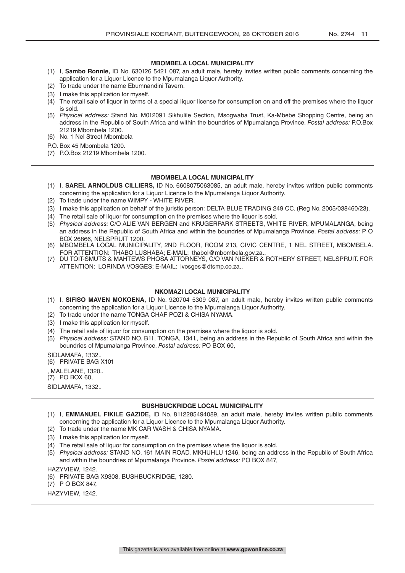# **MBOMBELA LOCAL MUNICIPALITY**

- (1) I, **Sambo Ronnie,** ID No. 630126 5421 087, an adult male, hereby invites written public comments concerning the application for a Liquor Licence to the Mpumalanga Liquor Authority.
- (2) To trade under the name Ebumnandini Tavern.
- (3) I make this application for myself.
- (4) The retail sale of liquor in terms of a special liquor license for consumption on and off the premises where the liquor is sold.
- (5) *Physical address:* Stand No. M012091 Sikhulile Section, Msogwaba Trust, Ka-Mbebe Shopping Centre, being an address in the Republic of South Africa and within the boundries of Mpumalanga Province. *Postal address:* P.O.Box 21219 Mbombela 1200.
- (6) No. 1 Nel Street Mbombela
- P.O. Box 45 Mbombela 1200.
- (7) P.O.Box 21219 Mbombela 1200.

# **MBOMBELA LOCAL MUNICIPALITY**

- (1) I, **SAREL ARNOLDUS CILLIERS,** ID No. 6608075063085, an adult male, hereby invites written public comments concerning the application for a Liquor Licence to the Mpumalanga Liquor Authority.
- (2) To trade under the name WIMPY WHITE RIVER.
- (3) I make this application on behalf of the juristic person: DELTA BLUE TRADING 249 CC. (Reg No. 2005/038460/23).
- (4) The retail sale of liquor for consumption on the premises where the liquor is sold.
- (5) *Physical address:* C/O ALIE VAN BERGEN and KRUGERPARK STREETS, WHITE RIVER, MPUMALANGA, being an address in the Republic of South Africa and within the boundries of Mpumalanga Province. *Postal address:* P O BOX 26866, NELSPRUIT 1200.
- (6) MBOMBELA LOCAL MUNICIPALITY, 2ND FLOOR, ROOM 213, CIVIC CENTRE, 1 NEL STREET, MBOMBELA. FOR ATTENTION: THABO LUSHABA; E-MAIL: thabol@mbombela.gov.za..
- (7) DU TOIT-SMUTS & MAHTEWS PHOSA ATTORNEYS, C/O VAN NIEKER & ROTHERY STREET, NELSPRUIT. FOR ATTENTION: LORINDA VOSGES; E-MAIL: lvosges@dtsmp.co.za..

# **NKOMAZI LOCAL MUNICIPALITY**

- (1) I, **SIFISO MAVEN MOKOENA,** ID No. 920704 5309 087, an adult male, hereby invites written public comments concerning the application for a Liquor Licence to the Mpumalanga Liquor Authority.
- (2) To trade under the name TONGA CHAF POZI & CHISA NYAMA.
- (3) I make this application for myself.
- (4) The retail sale of liquor for consumption on the premises where the liquor is sold.
- (5) *Physical address:* STAND NO. B11, TONGA, 1341., being an address in the Republic of South Africa and within the boundries of Mpumalanga Province. *Postal address:* PO BOX 60,

SIDLAMAFA, 1332. (6) PRIVATE BAG X101

, MALELANE, 1320.. (7) PO BOX 60, SIDLAMAFA, 1332..

# **BUSHBUCKRIDGE LOCAL MUNICIPALITY**

- (1) I, **EMMANUEL FIKILE GAZIDE,** ID No. 8112285494089, an adult male, hereby invites written public comments concerning the application for a Liquor Licence to the Mpumalanga Liquor Authority.
- (2) To trade under the name MK CAR WASH & CHISA NYAMA.
- (3) I make this application for myself.
- (4) The retail sale of liquor for consumption on the premises where the liquor is sold.
- (5) *Physical address:* STAND NO. 161 MAIN ROAD, MKHUHLU 1246, being an address in the Republic of South Africa and within the boundries of Mpumalanga Province. *Postal address:* PO BOX 847,

HAZYVIEW, 1242.

- (6) PRIVATE BAG X9308, BUSHBUCKRIDGE, 1280.
- (7) P O BOX 847,

HAZYVIEW, 1242.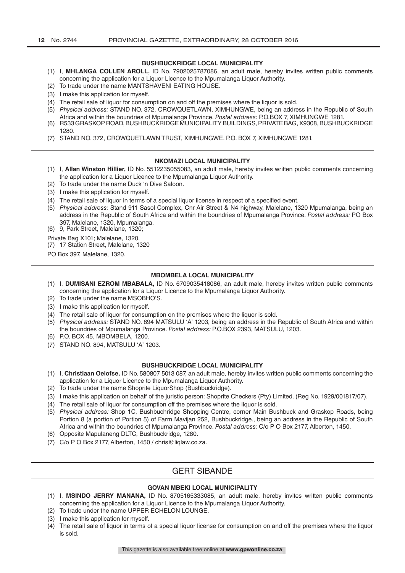# **BUSHBUCKRIDGE LOCAL MUNICIPALITY**

- (1) I, **MHLANGA COLLEN AROLL,** ID No. 7902025787086, an adult male, hereby invites written public comments concerning the application for a Liquor Licence to the Mpumalanga Liquor Authority.
- (2) To trade under the name MANTSHAVENI EATING HOUSE.
- (3) I make this application for myself.
- (4) The retail sale of liquor for consumption on and off the premises where the liquor is sold.
- (5) *Physical address:* STAND NO. 372, CROWQUETLAWN, XIMHUNGWE, being an address in the Republic of South Africa and within the boundries of Mpumalanga Province. *Postal address:* P.O.BOX 7, XIMHUNGWE 1281.
- (6) R533 GRASKOP ROAD, BUSHBUCKRIDGE MUNICIPALITY BUILDINGS, PRIVATE BAG, X9308, BUSHBUCKRIDGE 1280.
- (7) STAND NO. 372, CROWQUETLAWN TRUST, XIMHUNGWE. P.O. BOX 7, XIMHUNGWE 1281.

# **NKOMAZI LOCAL MUNICIPALITY**

- (1) I, **Allan Winston Hillier,** ID No. 5512235055083, an adult male, hereby invites written public comments concerning the application for a Liquor Licence to the Mpumalanga Liquor Authority.
- (2) To trade under the name Duck 'n Dive Saloon.
- (3) I make this application for myself.
- (4) The retail sale of liquor in terms of a special liquor license in respect of a specified event.
- (5) *Physical address:* Stand 911 Sasol Complex, Cnr Air Street & N4 highway, Malelane, 1320 Mpumalanga, being an address in the Republic of South Africa and within the boundries of Mpumalanga Province. *Postal address:* PO Box 397, Malelane, 1320, Mpumalanga.
- (6) 9, Park Street, Malelane, 1320;
- Private Bag X101; Malelane, 1320.
- (7) 17 Station Street, Malelane, 1320
- PO Box 397, Malelane, 1320.

# **MBOMBELA LOCAL MUNICIPALITY**

- (1) I, **DUMISANI EZROM MBABALA,** ID No. 6709035418086, an adult male, hereby invites written public comments concerning the application for a Liquor Licence to the Mpumalanga Liquor Authority.
- (2) To trade under the name MSOBHO'S.
- (3) I make this application for myself.
- (4) The retail sale of liquor for consumption on the premises where the liquor is sold.
- (5) *Physical address:* STAND NO. 894 MATSULU 'A' 1203, being an address in the Republic of South Africa and within the boundries of Mpumalanga Province. *Postal address:* P.O.BOX 2393, MATSULU, 1203.
- (6) P.O. BOX 45, MBOMBELA, 1200.
- (7) STAND NO. 894, MATSULU 'A' 1203.

#### **BUSHBUCKRIDGE LOCAL MUNICIPALITY**

- (1) I, **Christiaan Oelofse,** ID No. 580807 5013 087, an adult male, hereby invites written public comments concerning the application for a Liquor Licence to the Mpumalanga Liquor Authority.
- (2) To trade under the name Shoprite LiquorShop (Bushbuckridge).
- (3) I make this application on behalf of the juristic person: Shoprite Checkers (Pty) Limited. (Reg No. 1929/001817/07).
- (4) The retail sale of liquor for consumption off the premises where the liquor is sold.
- (5) *Physical address:* Shop 1C, Bushbuchridge Shopping Centre, corner Main Bushbuck and Graskop Roads, being Portion 8 (a portion of Portion 5) of Farm Mavijan 252, Bushbuckridge., being an address in the Republic of South Africa and within the boundries of Mpumalanga Province. *Postal address:* C/o P O Box 2177, Alberton, 1450.
- (6) Opposite Mapulaneng DLTC, Bushbuckridge, 1280.
- (7) C/o P O Box 2177, Alberton, 1450 / chris@liqlaw.co.za.

# GERT SIBANDE

# **GOVAN MBEKI LOCAL MUNICIPALITY**

- (1) I, **MSINDO JERRY MANANA,** ID No. 8705165333085, an adult male, hereby invites written public comments concerning the application for a Liquor Licence to the Mpumalanga Liquor Authority.
- (2) To trade under the name UPPER ECHELON LOUNGE.
- (3) I make this application for myself.
- (4) The retail sale of liquor in terms of a special liquor license for consumption on and off the premises where the liquor is sold.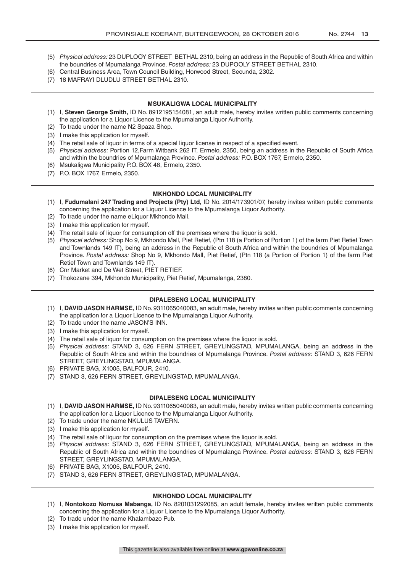- (5) *Physical address:* 23 DUPLOOY STREET BETHAL 2310, being an address in the Republic of South Africa and within the boundries of Mpumalanga Province. *Postal address:* 23 DUPOOLY STREET BETHAL 2310.
- (6) Central Business Area, Town Council Building, Horwood Street, Secunda, 2302.
- (7) 18 MAFRAYI DLUDLU STREET BETHAL 2310.

# **MSUKALIGWA LOCAL MUNICIPALITY**

- (1) I, **Steven George Smith,** ID No. 8912195154081, an adult male, hereby invites written public comments concerning the application for a Liquor Licence to the Mpumalanga Liquor Authority.
- (2) To trade under the name N2 Spaza Shop.
- (3) I make this application for myself.
- (4) The retail sale of liquor in terms of a special liquor license in respect of a specified event.
- (5) *Physical address:* Portion 12,Farm Witbank 262 IT, Ermelo, 2350, being an address in the Republic of South Africa and within the boundries of Mpumalanga Province. *Postal address:* P.O. BOX 1767, Ermelo, 2350.
- (6) Msukaligwa Municipality P.O. BOX 48, Ermelo, 2350.
- (7) P.O. BOX 1767, Ermelo, 2350.

# **MKHONDO LOCAL MUNICIPALITY**

- (1) I, **Fudumalani 247 Trading and Projects (Pty) Ltd,** ID No. 2014/173901/07, hereby invites written public comments concerning the application for a Liquor Licence to the Mpumalanga Liquor Authority.
- (2) To trade under the name eLiquor Mkhondo Mall.
- (3) I make this application for myself.
- (4) The retail sale of liquor for consumption off the premises where the liquor is sold.
- (5) *Physical address:* Shop No 9, Mkhondo Mall, Piet Retief, (Ptn 118 (a Portion of Portion 1) of the farm Piet Retief Town and Townlands 149 IT), being an address in the Republic of South Africa and within the boundries of Mpumalanga Province. *Postal address:* Shop No 9, Mkhondo Mall, Piet Retief, (Ptn 118 (a Portion of Portion 1) of the farm Piet Retief Town and Townlands 149 IT).
- (6) Cnr Market and De Wet Street, PIET RETIEF.
- (7) Thokozane 394, Mkhondo Municipality, Piet Retief, Mpumalanga, 2380.

# **DIPALESENG LOCAL MUNICIPALITY**

- (1) I, **DAVID JASON HARMSE,** ID No. 9311065040083, an adult male, hereby invites written public comments concerning the application for a Liquor Licence to the Mpumalanga Liquor Authority.
- (2) To trade under the name JASON'S INN.
- (3) I make this application for myself.
- (4) The retail sale of liquor for consumption on the premises where the liquor is sold.
- (5) *Physical address:* STAND 3, 626 FERN STREET, GREYLINGSTAD, MPUMALANGA, being an address in the Republic of South Africa and within the boundries of Mpumalanga Province. *Postal address:* STAND 3, 626 FERN STREET, GREYLINGSTAD, MPUMALANGA.
- (6) PRIVATE BAG, X1005, BALFOUR, 2410.
- (7) STAND 3, 626 FERN STREET, GREYLINGSTAD, MPUMALANGA.

# **DIPALESENG LOCAL MUNICIPALITY**

- (1) I, **DAVID JASON HARMSE,** ID No. 9311065040083, an adult male, hereby invites written public comments concerning the application for a Liquor Licence to the Mpumalanga Liquor Authority.
- (2) To trade under the name NKULUS TAVERN.
- (3) I make this application for myself.
- (4) The retail sale of liquor for consumption on the premises where the liquor is sold.
- (5) *Physical address:* STAND 3, 626 FERN STREET, GREYLINGSTAD, MPUMALANGA, being an address in the Republic of South Africa and within the boundries of Mpumalanga Province. *Postal address:* STAND 3, 626 FERN STREET, GREYLINGSTAD, MPUMALANGA.
- (6) PRIVATE BAG, X1005, BALFOUR, 2410.
- (7) STAND 3, 626 FERN STREET, GREYLINGSTAD, MPUMALANGA.

# **MKHONDO LOCAL MUNICIPALITY**

- (1) I, **Nontokozo Nomusa Mabanga,** ID No. 8201031292085, an adult female, hereby invites written public comments concerning the application for a Liquor Licence to the Mpumalanga Liquor Authority.
- (2) To trade under the name Khalambazo Pub.
- (3) I make this application for myself.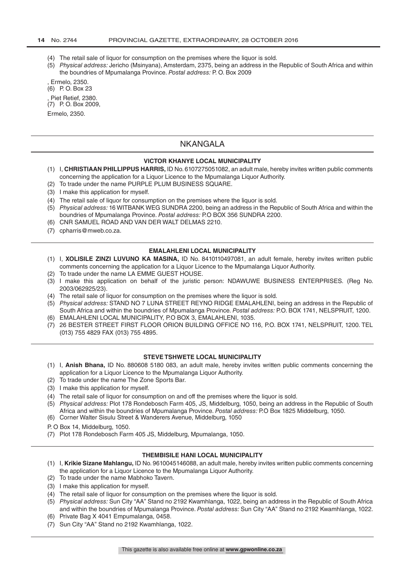- (4) The retail sale of liquor for consumption on the premises where the liquor is sold.
- (5) *Physical address:* Jericho (Msinyana), Amsterdam, 2375, being an address in the Republic of South Africa and within the boundries of Mpumalanga Province. *Postal address:* P. O. Box 2009

, Ermelo, 2350. (6) P. O. Box 23

, Piet Retief, 2380. (7) P. O. Box 2009,

Ermelo, 2350.

# **NKANGALA**

# **VICTOR KHANYE LOCAL MUNICIPALITY**

- (1) I, **CHRISTIAAN PHILLIPPUS HARRIS,** ID No. 6107275051082, an adult male, hereby invites written public comments concerning the application for a Liquor Licence to the Mpumalanga Liquor Authority.
- (2) To trade under the name PURPLE PLUM BUSINESS SQUARE.
- (3) I make this application for myself.
- (4) The retail sale of liquor for consumption on the premises where the liquor is sold.
- (5) *Physical address:* 16 WITBANK WEG SUNDRA 2200, being an address in the Republic of South Africa and within the boundries of Mpumalanga Province. *Postal address:* P.O BOX 356 SUNDRA 2200.
- (6) CNR SAMUEL ROAD AND VAN DER WALT DELMAS 2210.
- (7) cpharris@mweb.co.za.

# **EMALAHLENI LOCAL MUNICIPALITY**

- (1) I, **XOLISILE ZINZI LUVUNO KA MASINA,** ID No. 8410110497081, an adult female, hereby invites written public comments concerning the application for a Liquor Licence to the Mpumalanga Liquor Authority.
- (2) To trade under the name LA EMME GUEST HOUSE.
- (3) I make this application on behalf of the juristic person: NDAWUWE BUSINESS ENTERPRISES. (Reg No. 2003/062925/23).
- (4) The retail sale of liquor for consumption on the premises where the liquor is sold.
- (5) *Physical address:* STAND NO 7 LUNA STREET REYNO RIDGE EMALAHLENI, being an address in the Republic of South Africa and within the boundries of Mpumalanga Province. *Postal address:* P.O. BOX 1741, NELSPRUIT, 1200. (6) EMALAHLENI LOCAL MUNICIPALITY, P.O BOX 3, EMALAHLENI, 1035.
- (7) 26 BESTER STREET FIRST FLOOR ORION BUILDING OFFICE NO 116, P.O. BOX 1741, NELSPRUIT, 1200. TEL (013) 755 4829 FAX (013) 755 4895.

#### **STEVE TSHWETE LOCAL MUNICIPALITY**

- (1) I, **Anish Bhana,** ID No. 880608 5180 083, an adult male, hereby invites written public comments concerning the application for a Liquor Licence to the Mpumalanga Liquor Authority.
- (2) To trade under the name The Zone Sports Bar.
- (3) I make this application for myself.
- (4) The retail sale of liquor for consumption on and off the premises where the liquor is sold.
- (5) *Physical address:* Plot 178 Rondebosch Farm 405, JS, Middelburg, 1050, being an address in the Republic of South Africa and within the boundries of Mpumalanga Province. *Postal address:* P.O Box 1825 Middelburg, 1050. (6) Corner Walter Sisulu Street & Wanderers Avenue, Middelburg, 1050
- P. O Box 14, Middelburg, 1050.
- (7) Plot 178 Rondebosch Farm 405 JS, Middelburg, Mpumalanga, 1050.

# **THEMBISILE HANI LOCAL MUNICIPALITY**

- (1) I, **Krikie Sizane Mahlangu,** ID No. 9610045146088, an adult male, hereby invites written public comments concerning the application for a Liquor Licence to the Mpumalanga Liquor Authority.
- (2) To trade under the name Mabhoko Tavern.
- (3) I make this application for myself.
- (4) The retail sale of liquor for consumption on the premises where the liquor is sold.
- (5) *Physical address:* Sun City "AA" Stand no 2192 Kwamhlanga, 1022, being an address in the Republic of South Africa and within the boundries of Mpumalanga Province. *Postal address:* Sun City "AA" Stand no 2192 Kwamhlanga, 1022.
- (6) Private Bag X 4041 Empumalanga, 0458.
- (7) Sun City "AA" Stand no 2192 Kwamhlanga, 1022.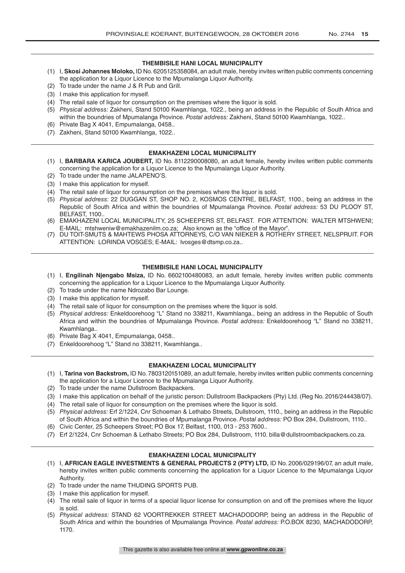# **THEMBISILE HANI LOCAL MUNICIPALITY**

- (1) I, **Skosi Johannes Moloko,** ID No. 6205125358084, an adult male, hereby invites written public comments concerning the application for a Liquor Licence to the Mpumalanga Liquor Authority.
- (2) To trade under the name J & R Pub and Grill.
- (3) I make this application for myself.
- (4) The retail sale of liquor for consumption on the premises where the liquor is sold.
- (5) *Physical address:* Zakheni, Stand 50100 Kwamhlanga, 1022., being an address in the Republic of South Africa and within the boundries of Mpumalanga Province. *Postal address:* Zakheni, Stand 50100 Kwamhlanga, 1022..
- (6) Private Bag X 4041, Empumalanga, 0458..
- (7) Zakheni, Stand 50100 Kwamhlanga, 1022..

# **EMAKHAZENI LOCAL MUNICIPALITY**

- (1) I, **BARBARA KARICA JOUBERT,** ID No. 8112290008080, an adult female, hereby invites written public comments concerning the application for a Liquor Licence to the Mpumalanga Liquor Authority.
- (2) To trade under the name JALAPENO'S.
- (3) I make this application for myself.
- (4) The retail sale of liquor for consumption on the premises where the liquor is sold.
- (5) *Physical address:* 22 DUGGAN ST, SHOP NO. 2, KOSMOS CENTRE, BELFAST, 1100., being an address in the Republic of South Africa and within the boundries of Mpumalanga Province. *Postal address:* 53 DU PLOOY ST, BELFAST, 1100..
- (6) EMAKHAZENI LOCAL MUNICIPALITY, 25 SCHEEPERS ST, BELFAST. FOR ATTENTION: WALTER MTSHWENI; E-MAIL: mtshweniw@emakhazenilm.co.za; Also known as the "office of the Mayor".
- (7) DU TOIT-SMUTS & MAHTEWS PHOSA ATTORNEYS, C/O VAN NIEKER & ROTHERY STREET, NELSPRUIT. FOR ATTENTION: LORINDA VOSGES; E-MAIL: lvosges@dtsmp.co.za..

# **THEMBISILE HANI LOCAL MUNICIPALITY**

- (1) I, **Engilinah Njengabo Msiza,** ID No. 6602100480083, an adult female, hereby invites written public comments concerning the application for a Liquor Licence to the Mpumalanga Liquor Authority.
- (2) To trade under the name Ndrozabo Bar Lounge.
- (3) I make this application for myself.
- (4) The retail sale of liquor for consumption on the premises where the liquor is sold.
- (5) *Physical address:* Enkeldoorehoog "L" Stand no 338211, Kwamhlanga., being an address in the Republic of South Africa and within the boundries of Mpumalanga Province. *Postal address:* Enkeldoorehoog "L" Stand no 338211, Kwamhlanga..
- (6) Private Bag X 4041, Empumalanga, 0458..
- (7) Enkeldoorehoog "L" Stand no 338211, Kwamhlanga..

# **EMAKHAZENI LOCAL MUNICIPALITY**

- (1) I, **Tarina von Backstrom,** ID No. 7803120151089, an adult female, hereby invites written public comments concerning the application for a Liquor Licence to the Mpumalanga Liquor Authority.
- (2) To trade under the name Dullstroom Backpackers.
- (3) I make this application on behalf of the juristic person: Dullstroom Backpackers (Pty) Ltd. (Reg No. 2016/244438/07).
- (4) The retail sale of liquor for consumption on the premises where the liquor is sold.
- (5) *Physical address:* Erf 2/1224, Cnr Schoeman & Lethabo Streets, Dullstroom, 1110., being an address in the Republic of South Africa and within the boundries of Mpumalanga Province. *Postal address:* PO Box 284, Dullstroom, 1110..
- (6) Civic Center, 25 Scheepers Street; PO Box 17, Belfast, 1100, 013 253 7600..
- (7) Erf 2/1224, Cnr Schoeman & Lethabo Streets; PO Box 284, Dullstroom, 1110. billa@dullstroombackpackers.co.za.

# **EMAKHAZENI LOCAL MUNICIPALITY**

- (1) I, **AFRICAN EAGLE INVESTMENTS & GENERAL PROJECTS 2 (PTY) LTD,** ID No. 2006/029196/07, an adult male, hereby invites written public comments concerning the application for a Liquor Licence to the Mpumalanga Liquor Authority.
- (2) To trade under the name THUDING SPORTS PUB.
- (3) I make this application for myself.
- (4) The retail sale of liquor in terms of a special liquor license for consumption on and off the premises where the liquor is sold.
- (5) *Physical address:* STAND 62 VOORTREKKER STREET MACHADODORP, being an address in the Republic of South Africa and within the boundries of Mpumalanga Province. *Postal address:* P.O.BOX 8230, MACHADODORP, 1170.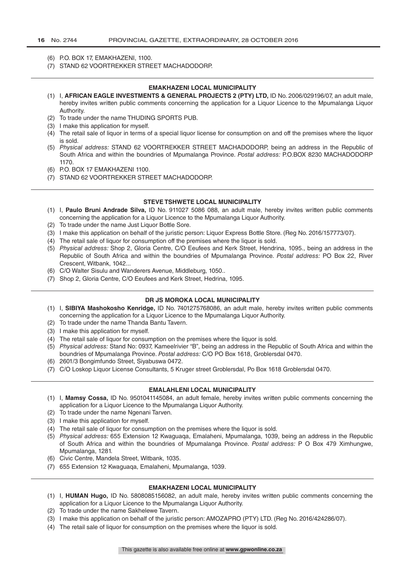- (6) P.O. BOX 17, EMAKHAZENI, 1100.
- (7) STAND 62 VOORTREKKER STREET MACHADODORP.

# **EMAKHAZENI LOCAL MUNICIPALITY**

- (1) I, **AFRICAN EAGLE INVESTMENTS & GENERAL PROJECTS 2 (PTY) LTD,** ID No. 2006/029196/07, an adult male, hereby invites written public comments concerning the application for a Liquor Licence to the Mpumalanga Liquor Authority.
- (2) To trade under the name THUDING SPORTS PUB.
- (3) I make this application for myself.
- (4) The retail sale of liquor in terms of a special liquor license for consumption on and off the premises where the liquor is sold.
- (5) *Physical address:* STAND 62 VOORTREKKER STREET MACHADODORP, being an address in the Republic of South Africa and within the boundries of Mpumalanga Province. *Postal address:* P.O.BOX 8230 MACHADODORP 1170.
- (6) P.O. BOX 17 EMAKHAZENI 1100.
- (7) STAND 62 VOORTREKKER STREET MACHADODORP.

# **STEVE TSHWETE LOCAL MUNICIPALITY**

- (1) I, **Paulo Bruni Andrade Silva,** ID No. 911027 5086 088, an adult male, hereby invites written public comments concerning the application for a Liquor Licence to the Mpumalanga Liquor Authority.
- (2) To trade under the name Just Liquor Bottle Sore.
- (3) I make this application on behalf of the juristic person: Liquor Express Bottle Store. (Reg No. 2016/157773/07).
- (4) The retail sale of liquor for consumption off the premises where the liquor is sold.
- (5) *Physical address:* Shop 2, Gloria Centre, C/O Eeufees and Kerk Street, Hendrina, 1095., being an address in the Republic of South Africa and within the boundries of Mpumalanga Province. *Postal address:* PO Box 22, River Crescent, Witbank, 1042...
- (6) C/O Walter Sisulu and Wanderers Avenue, Middleburg, 1050..
- (7) Shop 2, Gloria Centre, C/O Eeufees and Kerk Street, Hedrina, 1095.

# **DR JS MOROKA LOCAL MUNICIPALITY**

- (1) I, **SIBIYA Mashokosho Kenridge,** ID No. 7401275768086, an adult male, hereby invites written public comments concerning the application for a Liquor Licence to the Mpumalanga Liquor Authority.
- (2) To trade under the name Thanda Bantu Tavern.
- (3) I make this application for myself.
- (4) The retail sale of liquor for consumption on the premises where the liquor is sold.
- (5) *Physical address:* Stand No: 0937, Kameelrivier "B", being an address in the Republic of South Africa and within the boundries of Mpumalanga Province. *Postal address:* C/O PO Box 1618, Groblersdal 0470.
- (6) 2601/3 Bongimfundo Street, Siyabuswa 0472.
- (7) C/O Loskop Liquor License Consultants, 5 Kruger street Groblersdal, Po Box 1618 Groblersdal 0470.

# **EMALAHLENI LOCAL MUNICIPALITY**

- (1) I, **Mamsy Cossa,** ID No. 9501041145084, an adult female, hereby invites written public comments concerning the application for a Liquor Licence to the Mpumalanga Liquor Authority.
- (2) To trade under the name Ngenani Tarven.
- (3) I make this application for myself.
- (4) The retail sale of liquor for consumption on the premises where the liquor is sold.
- (5) *Physical address:* 655 Extension 12 Kwaguaqa, Emalaheni, Mpumalanga, 1039, being an address in the Republic of South Africa and within the boundries of Mpumalanga Province. *Postal address:* P O Box 479 Ximhungwe, Mpumalanga, 1281.
- (6) Civic Centre, Mandela Street, Witbank, 1035.
- (7) 655 Extension 12 Kwaguaqa, Emalaheni, Mpumalanga, 1039.

# **EMAKHAZENI LOCAL MUNICIPALITY**

- (1) I, **HUMAN Hugo,** ID No. 5808085156082, an adult male, hereby invites written public comments concerning the application for a Liquor Licence to the Mpumalanga Liquor Authority.
- (2) To trade under the name Sakhelewe Tavern.
- (3) I make this application on behalf of the juristic person: AMOZAPRO (PTY) LTD. (Reg No. 2016/424286/07).
- (4) The retail sale of liquor for consumption on the premises where the liquor is sold.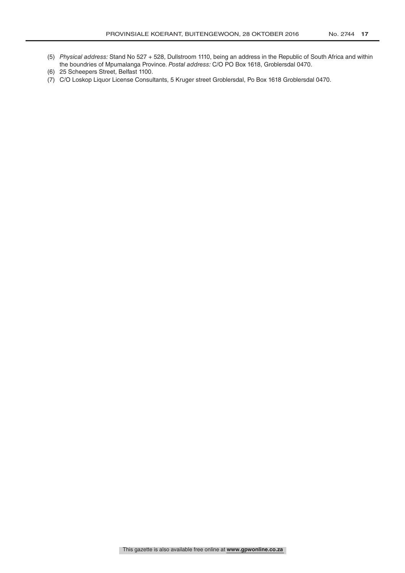- (5) *Physical address:* Stand No 527 + 528, Dullstroom 1110, being an address in the Republic of South Africa and within the boundries of Mpumalanga Province. *Postal address:* C/O PO Box 1618, Groblersdal 0470.
- (6) 25 Scheepers Street, Belfast 1100.
- (7) C/O Loskop Liquor License Consultants, 5 Kruger street Groblersdal, Po Box 1618 Groblersdal 0470.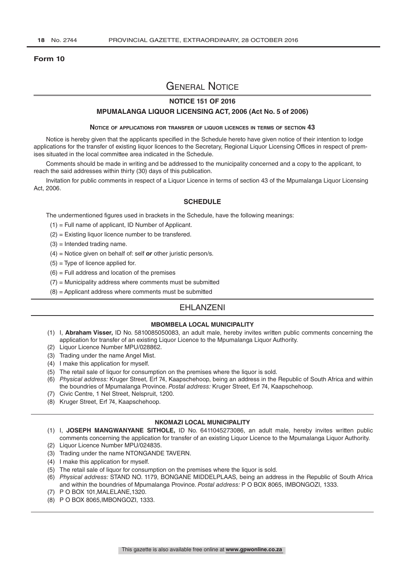# **Form 10**

# General Notice

# **NOTICE 151 OF 2016**

#### **MPUMALANGA LIQUOR LICENSING ACT, 2006 (Act No. 5 of 2006)**

#### **Notice of applications for transfer of liquor licences in terms of section 43**

Notice is hereby given that the applicants specified in the Schedule hereto have given notice of their intention to lodge applications for the transfer of existing liquor licences to the Secretary, Regional Liquor Licensing Offices in respect of premises situated in the local committee area indicated in the Schedule.

Comments should be made in writing and be addressed to the municipality concerned and a copy to the applicant, to reach the said addresses within thirty (30) days of this publication.

Invitation for public comments in respect of a Liquor Licence in terms of section 43 of the Mpumalanga Liquor Licensing Act, 2006.

# **SCHEDULE**

The undermentioned figures used in brackets in the Schedule, have the following meanings:

- (1) = Full name of applicant, ID Number of Applicant.
- (2) = Existing liquor licence number to be transfered.
- $(3)$  = Intended trading name.
- (4) = Notice given on behalf of: self *or* other juristic person/s.
- $(5)$  = Type of licence applied for.
- $(6)$  = Full address and location of the premises
- $(7)$  = Municipality address where comments must be submitted
- $(8)$  = Applicant address where comments must be submitted

# EHLANZENI

# **MBOMBELA LOCAL MUNICIPALITY**

- (1) I, **Abraham Visser,** ID No. 5810085050083, an adult male, hereby invites written public comments concerning the application for transfer of an existing Liquor Licence to the Mpumalanga Liquor Authority.
- (2) Liquor Licence Number MPU/028862.
- (3) Trading under the name Angel Mist.
- (4) I make this application for myself.
- (5) The retail sale of liquor for consumption on the premises where the liquor is sold.
- (6) *Physical address:* Kruger Street, Erf 74, Kaapschehoop, being an address in the Republic of South Africa and within the boundries of Mpumalanga Province. *Postal address:* Kruger Street, Erf 74, Kaapschehoop.
- (7) Civic Centre, 1 Nel Street, Nelspruit, 1200.
- (8) Kruger Street, Erf 74, Kaapschehoop.

# **NKOMAZI LOCAL MUNICIPALITY**

- (1) I, **JOSEPH MANGWANYANE SITHOLE,** ID No. 6411045273086, an adult male, hereby invites written public comments concerning the application for transfer of an existing Liquor Licence to the Mpumalanga Liquor Authority.
- (2) Liquor Licence Number MPU/024835.
- (3) Trading under the name NTONGANDE TAVERN.
- (4) I make this application for myself.
- (5) The retail sale of liquor for consumption on the premises where the liquor is sold.
- (6) *Physical address:* STAND NO. 1179, BONGANE MIDDELPLAAS, being an address in the Republic of South Africa and within the boundries of Mpumalanga Province. *Postal address:* P O BOX 8065, IMBONGOZI, 1333.
- (7) P O BOX 101,MALELANE,1320.
- (8) P O BOX 8065,IMBONGOZI, 1333.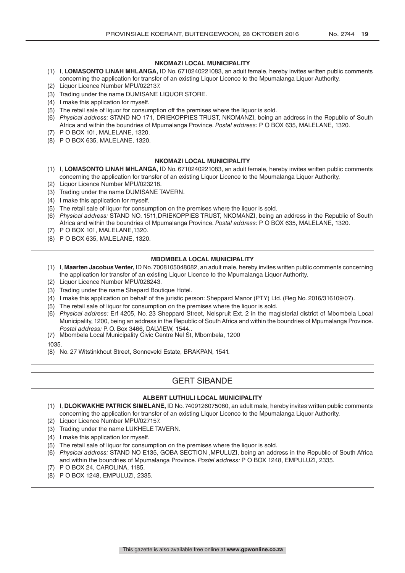# **NKOMAZI LOCAL MUNICIPALITY**

- (1) I, **LOMASONTO LINAH MHLANGA,** ID No. 6710240221083, an adult female, hereby invites written public comments concerning the application for transfer of an existing Liquor Licence to the Mpumalanga Liquor Authority.
- (2) Liquor Licence Number MPU/022137.
- (3) Trading under the name DUMISANE LIQUOR STORE.
- (4) I make this application for myself.
- (5) The retail sale of liquor for consumption off the premises where the liquor is sold.
- (6) *Physical address:* STAND NO 171, DRIEKOPPIES TRUST, NKOMANZI, being an address in the Republic of South Africa and within the boundries of Mpumalanga Province. *Postal address:* P O BOX 635, MALELANE, 1320.
- (7) P O BOX 101, MALELANE, 1320.
- (8) P O BOX 635, MALELANE, 1320.

# **NKOMAZI LOCAL MUNICIPALITY**

- (1) I, **LOMASONTO LINAH MHLANGA,** ID No. 6710240221083, an adult female, hereby invites written public comments concerning the application for transfer of an existing Liquor Licence to the Mpumalanga Liquor Authority.
- (2) Liquor Licence Number MPU/023218.
- (3) Trading under the name DUMISANE TAVERN.
- (4) I make this application for myself.
- (5) The retail sale of liquor for consumption on the premises where the liquor is sold.
- (6) *Physical address:* STAND NO. 1511,DRIEKOPPIES TRUST, NKOMANZI, being an address in the Republic of South Africa and within the boundries of Mpumalanga Province. *Postal address:* P O BOX 635, MALELANE, 1320.
- (7) P O BOX 101, MALELANE,1320.
- (8) P O BOX 635, MALELANE, 1320.

# **MBOMBELA LOCAL MUNICIPALITY**

- (1) I, **Maarten Jacobus Venter,** ID No. 7008105048082, an adult male, hereby invites written public comments concerning the application for transfer of an existing Liquor Licence to the Mpumalanga Liquor Authority.
- (2) Liquor Licence Number MPU/028243.
- (3) Trading under the name Shepard Boutique Hotel.
- (4) I make this application on behalf of the juristic person: Sheppard Manor (PTY) Ltd. (Reg No. 2016/316109/07).
- (5) The retail sale of liquor for consumption on the premises where the liquor is sold.
- (6) *Physical address:* Erf 4205, No. 23 Sheppard Street, Nelspruit Ext. 2 in the magisterial district of Mbombela Local Municipality, 1200, being an address in the Republic of South Africa and within the boundries of Mpumalanga Province. *Postal address:* P. O. Box 3466, DALVIEW, 1544..
- (7) Mbombela Local Municipality Civic Centre Nel St, Mbombela, 1200
- 1035.
- (8) No. 27 Witstinkhout Street, Sonneveld Estate, BRAKPAN, 1541.

# GERT SIBANDE

# **ALBERT LUTHULI LOCAL MUNICIPALITY**

- (1) I, **DLOKWAKHE PATRICK SIMELANE,** ID No. 7409126075080, an adult male, hereby invites written public comments concerning the application for transfer of an existing Liquor Licence to the Mpumalanga Liquor Authority.
- (2) Liquor Licence Number MPU/027157.
- (3) Trading under the name LUKHELE TAVERN.
- (4) I make this application for myself.
- (5) The retail sale of liquor for consumption on the premises where the liquor is sold.
- (6) *Physical address:* STAND NO E135, GOBA SECTION ,MPULUZI, being an address in the Republic of South Africa and within the boundries of Mpumalanga Province. *Postal address:* P O BOX 1248, EMPULUZI, 2335.
- (7) P O BOX 24, CAROLINA, 1185.
- (8) P O BOX 1248, EMPULUZI, 2335.